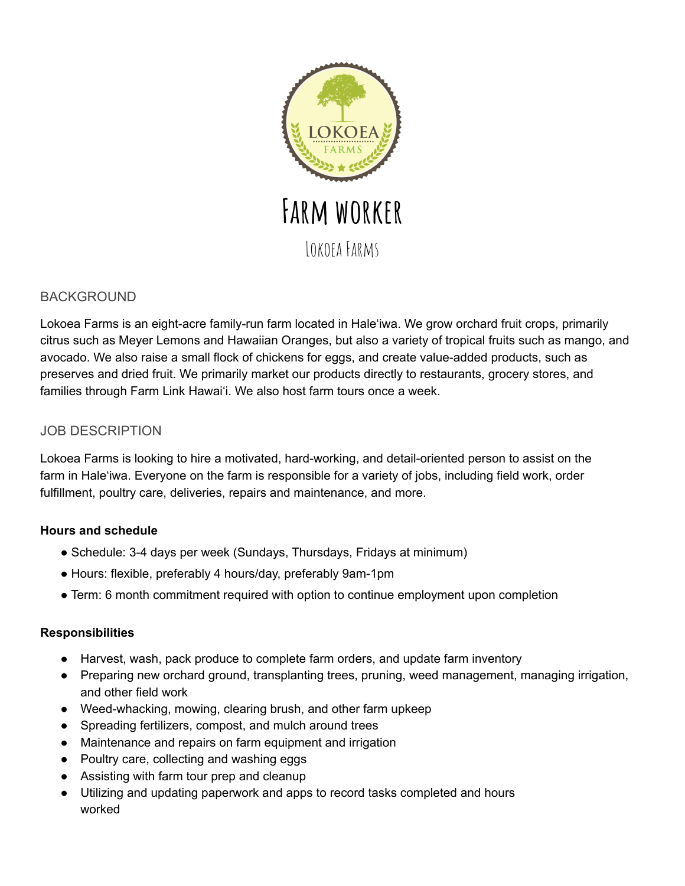

# BACKGROUND

Lokoea Farms is an eight-acre family-run farm located in Hale'iwa. We grow orchard fruit crops, primarily citrus such as Meyer Lemons and Hawaiian Oranges, but also a variety of tropical fruits such as mango, and avocado. We also raise a small flock of chickens for eggs, and create value-added products, such as preserves and dried fruit. We primarily market our products directly to restaurants, grocery stores, and families through Farm Link Hawai'i. We also host farm tours once a week.

# JOB DESCRIPTION

Lokoea Farms is looking to hire a motivated, hard-working, and detail-oriented person to assist on the farm in Hale'iwa. Everyone on the farm is responsible for a variety of jobs, including field work, order fulfillment, poultry care, deliveries, repairs and maintenance, and more.

## **Hours and schedule**

- Schedule: 3-4 days per week (Sundays, Thursdays, Fridays at minimum)
- Hours: flexible, preferably 4 hours/day, preferably 9am-1pm
- Term: 6 month commitment required with option to continue employment upon completion

## **Responsibilities**

- Harvest, wash, pack produce to complete farm orders, and update farm inventory
- Preparing new orchard ground, transplanting trees, pruning, weed management, managing irrigation, and other field work
- Weed-whacking, mowing, clearing brush, and other farm upkeep
- Spreading fertilizers, compost, and mulch around trees
- Maintenance and repairs on farm equipment and irrigation
- Poultry care, collecting and washing eggs
- Assisting with farm tour prep and cleanup
- Utilizing and updating paperwork and apps to record tasks completed and hours worked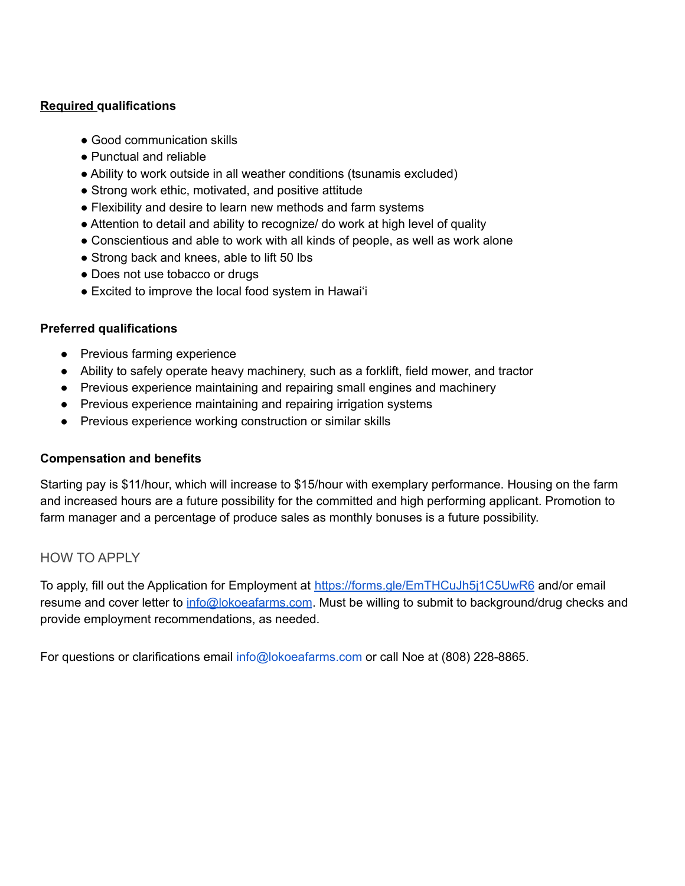#### **Required qualifications**

- Good communication skills
- Punctual and reliable
- Ability to work outside in all weather conditions (tsunamis excluded)
- Strong work ethic, motivated, and positive attitude
- Flexibility and desire to learn new methods and farm systems
- Attention to detail and ability to recognize/ do work at high level of quality
- Conscientious and able to work with all kinds of people, as well as work alone
- Strong back and knees, able to lift 50 lbs
- Does not use tobacco or drugs
- Excited to improve the local food system in Hawai'i

#### **Preferred qualifications**

- Previous farming experience
- Ability to safely operate heavy machinery, such as a forklift, field mower, and tractor
- Previous experience maintaining and repairing small engines and machinery
- Previous experience maintaining and repairing irrigation systems
- Previous experience working construction or similar skills

#### **Compensation and benefits**

Starting pay is \$11/hour, which will increase to \$15/hour with exemplary performance. Housing on the farm and increased hours are a future possibility for the committed and high performing applicant. Promotion to farm manager and a percentage of produce sales as monthly bonuses is a future possibility.

## HOW TO APPLY

To apply, fill out the Application for Employment at <https://forms.gle/EmTHCuJh5j1C5UwR6> and/or email resume and cover letter to [info@lokoeafarms.com](mailto:info@lokoeafarms.com). Must be willing to submit to background/drug checks and provide employment recommendations, as needed.

For questions or clarifications email info@lokoeafarms.com or call Noe at (808) 228-8865.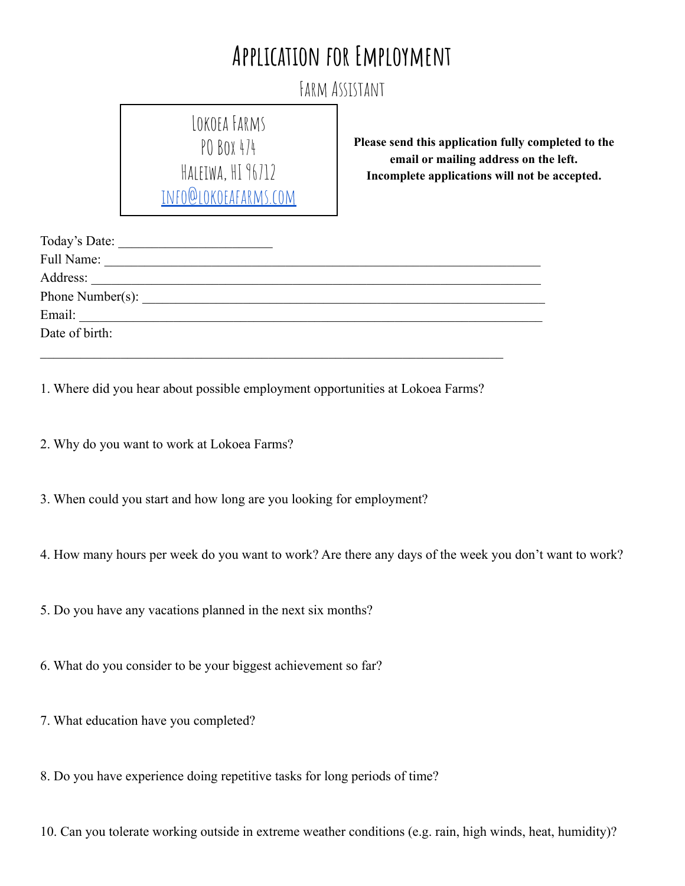# **Application for Employment**

Farm Assistant

LOKOFA FARMS POBox 474 HALEIWA, HI 96712 [info@lokoeafarms.com](mailto:info@lokoeafarms.com)

**Please send this application fully completed to the email or mailing address on the left. Incomplete applications will not be accepted.**

| Today's Date:    |  |  |
|------------------|--|--|
| Full Name:       |  |  |
|                  |  |  |
| Phone Number(s): |  |  |
| Email:           |  |  |
| Date of birth:   |  |  |
|                  |  |  |

1. Where did you hear about possible employment opportunities at Lokoea Farms?

2. Why do you want to work at Lokoea Farms?

3. When could you start and how long are you looking for employment?

4. How many hours per week do you want to work? Are there any days of the week you don't want to work?

5. Do you have any vacations planned in the next six months?

6. What do you consider to be your biggest achievement so far?

7. What education have you completed?

8. Do you have experience doing repetitive tasks for long periods of time?

10. Can you tolerate working outside in extreme weather conditions (e.g. rain, high winds, heat, humidity)?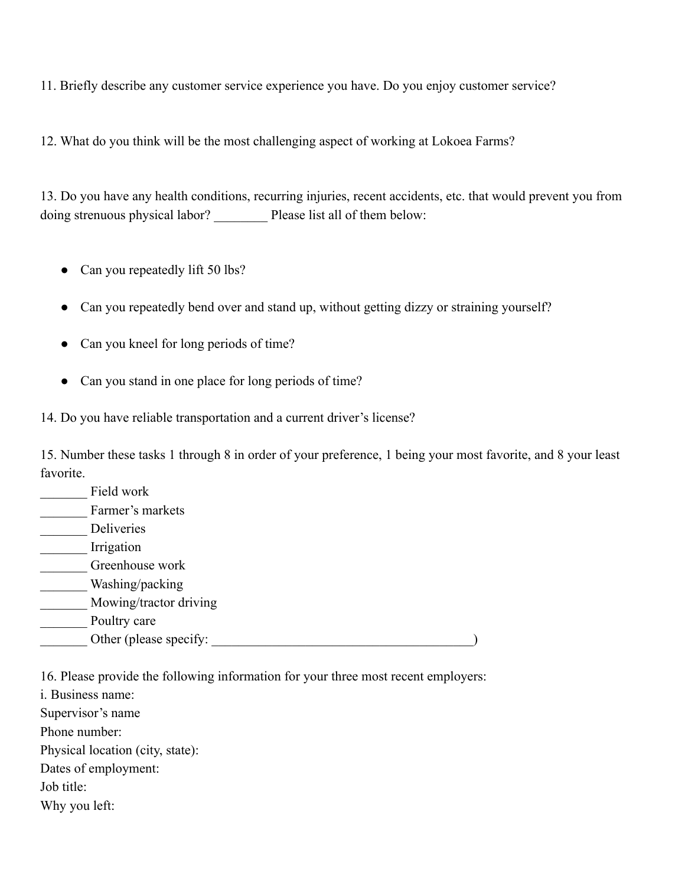11. Briefly describe any customer service experience you have. Do you enjoy customer service?

12. What do you think will be the most challenging aspect of working at Lokoea Farms?

13. Do you have any health conditions, recurring injuries, recent accidents, etc. that would prevent you from doing strenuous physical labor? Please list all of them below:

- Can you repeatedly lift 50 lbs?
- Can you repeatedly bend over and stand up, without getting dizzy or straining yourself?
- Can you kneel for long periods of time?
- Can you stand in one place for long periods of time?

14. Do you have reliable transportation and a current driver's license?

15. Number these tasks 1 through 8 in order of your preference, 1 being your most favorite, and 8 your least favorite.

| Field work             |  |
|------------------------|--|
| Farmer's markets       |  |
| Deliveries             |  |
| Irrigation             |  |
| Greenhouse work        |  |
| Washing/packing        |  |
| Mowing/tractor driving |  |
| Poultry care           |  |
| Other (please specify: |  |

16. Please provide the following information for your three most recent employers:

i. Business name:

Supervisor's name

Phone number:

Physical location (city, state):

Dates of employment:

Job title:

Why you left: